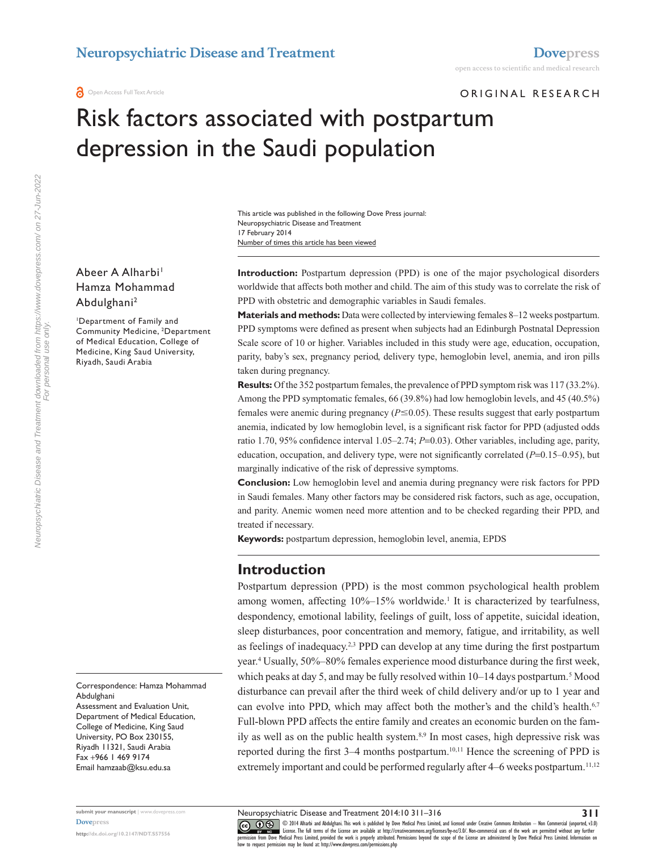ORIGINAL RESEARCH

# Risk factors associated with postpartum depression in the Saudi population

Number of times this article has been viewed This article was published in the following Dove Press journal: Neuropsychiatric Disease and Treatment 17 February 2014

Abeer A Alharbi<sup>1</sup> Hamza Mohammad Abdulghani2

1 Department of Family and Community Medicine, <sup>2</sup>Department of Medical Education, College of Medicine, King Saud University, Riyadh, Saudi Arabia

Correspondence: Hamza Mohammad Abdulghani

Assessment and Evaluation Unit, Department of Medical Education, College of Medicine, King Saud University, PO Box 230155, Riyadh 11321, Saudi Arabia Fax +966 1 469 9174 Email [hamzaab@ksu.edu.sa](mailto:hamzaab@ksu.edu.sa)

**Introduction:** Postpartum depression (PPD) is one of the major psychological disorders worldwide that affects both mother and child. The aim of this study was to correlate the risk of PPD with obstetric and demographic variables in Saudi females.

**Materials and methods:** Data were collected by interviewing females 8–12 weeks postpartum. PPD symptoms were defined as present when subjects had an Edinburgh Postnatal Depression Scale score of 10 or higher. Variables included in this study were age, education, occupation, parity, baby's sex, pregnancy period, delivery type, hemoglobin level, anemia, and iron pills taken during pregnancy.

**Results:** Of the 352 postpartum females, the prevalence of PPD symptom risk was 117 (33.2%). Among the PPD symptomatic females, 66 (39.8%) had low hemoglobin levels, and 45 (40.5%) females were anemic during pregnancy  $(P \le 0.05)$ . These results suggest that early postpartum anemia, indicated by low hemoglobin level, is a significant risk factor for PPD (adjusted odds ratio 1.70, 95% confidence interval 1.05–2.74; *P*=0.03). Other variables, including age, parity, education, occupation, and delivery type, were not significantly correlated (*P*=0.15–0.95), but marginally indicative of the risk of depressive symptoms.

**Conclusion:** Low hemoglobin level and anemia during pregnancy were risk factors for PPD in Saudi females. Many other factors may be considered risk factors, such as age, occupation, and parity. Anemic women need more attention and to be checked regarding their PPD, and treated if necessary.

**Keywords:** postpartum depression, hemoglobin level, anemia, EPDS

#### **Introduction**

Postpartum depression (PPD) is the most common psychological health problem among women, affecting  $10\% - 15\%$  worldwide.<sup>1</sup> It is characterized by tearfulness, despondency, emotional lability, feelings of guilt, loss of appetite, suicidal ideation, sleep disturbances, poor concentration and memory, fatigue, and irritability, as well as feelings of inadequacy.2,3 PPD can develop at any time during the first postpartum year.4 Usually, 50%–80% females experience mood disturbance during the first week, which peaks at day 5, and may be fully resolved within 10–14 days postpartum.<sup>5</sup> Mood disturbance can prevail after the third week of child delivery and/or up to 1 year and can evolve into PPD, which may affect both the mother's and the child's health.<sup>6,7</sup> Full-blown PPD affects the entire family and creates an economic burden on the family as well as on the public health system.<sup>8,9</sup> In most cases, high depressive risk was reported during the first 3–4 months postpartum.10,11 Hence the screening of PPD is extremely important and could be performed regularly after 4–6 weeks postpartum.<sup>11,12</sup>

Neuropsychiatric Disease and Treatment 2014:10 311–316

**submit your manuscript** | <www.dovepress.com> **[Dovepress](www.dovepress.com)**

**<http://dx.doi.org/10.2147/NDT.S57556>**

CO ODI4 Alharbi and Abdulghani. This work is published by Dove Medical Press Limited, and licensed under Creative Commons Attribution - Non Commercial (unported, v3.0)<br> [permission from Dove M](http://www.dovepress.com/permissions.php)edical Press Limited, provided how to request permission may be found at: http://www.dovepress.com/permissions.php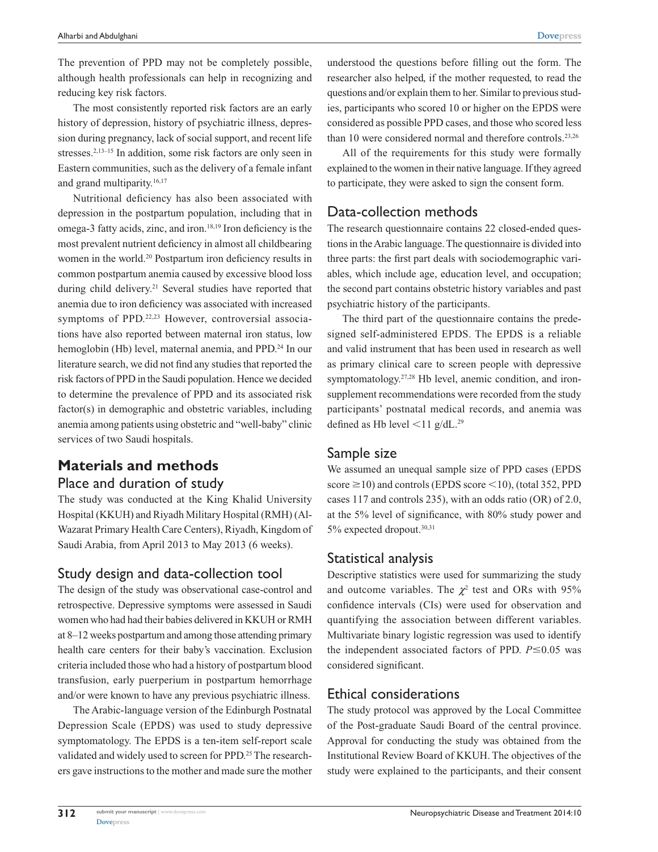The prevention of PPD may not be completely possible, although health professionals can help in recognizing and reducing key risk factors.

The most consistently reported risk factors are an early history of depression, history of psychiatric illness, depression during pregnancy, lack of social support, and recent life stresses.<sup>2,13–15</sup> In addition, some risk factors are only seen in Eastern communities, such as the delivery of a female infant and grand multiparity.<sup>16,17</sup>

Nutritional deficiency has also been associated with depression in the postpartum population, including that in omega-3 fatty acids, zinc, and iron.18,19 Iron deficiency is the most prevalent nutrient deficiency in almost all childbearing women in the world.<sup>20</sup> Postpartum iron deficiency results in common postpartum anemia caused by excessive blood loss during child delivery.<sup>21</sup> Several studies have reported that anemia due to iron deficiency was associated with increased symptoms of PPD.<sup>22,23</sup> However, controversial associations have also reported between maternal iron status, low hemoglobin (Hb) level, maternal anemia, and PPD.<sup>24</sup> In our literature search, we did not find any studies that reported the risk factors of PPD in the Saudi population. Hence we decided to determine the prevalence of PPD and its associated risk factor(s) in demographic and obstetric variables, including anemia among patients using obstetric and "well-baby" clinic services of two Saudi hospitals.

# **Materials and methods** Place and duration of study

The study was conducted at the King Khalid University Hospital (KKUH) and Riyadh Military Hospital (RMH) (Al-Wazarat Primary Health Care Centers), Riyadh, Kingdom of Saudi Arabia, from April 2013 to May 2013 (6 weeks).

### Study design and data-collection tool

The design of the study was observational case-control and retrospective. Depressive symptoms were assessed in Saudi women who had had their babies delivered in KKUH or RMH at 8–12 weeks postpartum and among those attending primary health care centers for their baby's vaccination. Exclusion criteria included those who had a history of postpartum blood transfusion, early puerperium in postpartum hemorrhage and/or were known to have any previous psychiatric illness.

The Arabic-language version of the Edinburgh Postnatal Depression Scale (EPDS) was used to study depressive symptomatology. The EPDS is a ten-item self-report scale validated and widely used to screen for PPD.<sup>25</sup> The researchers gave instructions to the mother and made sure the mother

understood the questions before filling out the form. The researcher also helped, if the mother requested, to read the questions and/or explain them to her. Similar to previous studies, participants who scored 10 or higher on the EPDS were considered as possible PPD cases, and those who scored less than 10 were considered normal and therefore controls.<sup>23,26</sup>

All of the requirements for this study were formally explained to the women in their native language. If they agreed to participate, they were asked to sign the consent form.

#### Data-collection methods

The research questionnaire contains 22 closed-ended questions in the Arabic language. The questionnaire is divided into three parts: the first part deals with sociodemographic variables, which include age, education level, and occupation; the second part contains obstetric history variables and past psychiatric history of the participants.

The third part of the questionnaire contains the predesigned self-administered EPDS. The EPDS is a reliable and valid instrument that has been used in research as well as primary clinical care to screen people with depressive symptomatology.<sup>27,28</sup> Hb level, anemic condition, and ironsupplement recommendations were recorded from the study participants' postnatal medical records, and anemia was defined as Hb level  $\leq$ 11 g/dL.<sup>29</sup>

#### Sample size

We assumed an unequal sample size of PPD cases (EPDS score  $\geq$  10) and controls (EPDS score  $\leq$  10), (total 352, PPD cases 117 and controls 235), with an odds ratio (OR) of 2.0, at the 5% level of significance, with 80% study power and 5% expected dropout.30,31

### Statistical analysis

Descriptive statistics were used for summarizing the study and outcome variables. The  $\chi^2$  test and ORs with 95% confidence intervals (CIs) were used for observation and quantifying the association between different variables. Multivariate binary logistic regression was used to identify the independent associated factors of PPD.  $P \le 0.05$  was considered significant.

### Ethical considerations

The study protocol was approved by the Local Committee of the Post-graduate Saudi Board of the central province. Approval for conducting the study was obtained from the Institutional Review Board of KKUH. The objectives of the study were explained to the participants, and their consent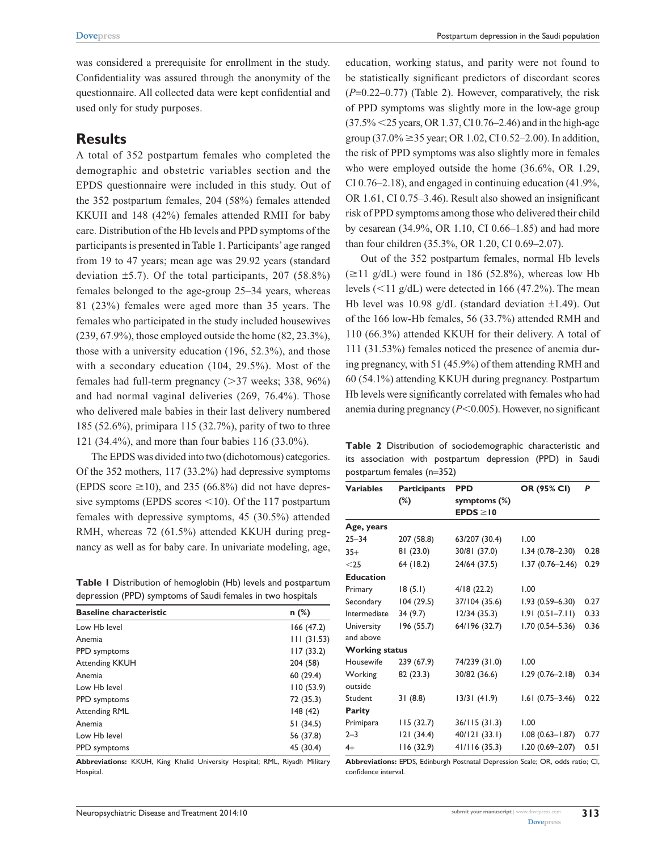was considered a prerequisite for enrollment in the study. Confidentiality was assured through the anonymity of the questionnaire. All collected data were kept confidential and used only for study purposes.

#### **Results**

A total of 352 postpartum females who completed the demographic and obstetric variables section and the EPDS questionnaire were included in this study. Out of the 352 postpartum females, 204 (58%) females attended KKUH and 148 (42%) females attended RMH for baby care. Distribution of the Hb levels and PPD symptoms of the participants is presented in Table 1. Participants' age ranged from 19 to 47 years; mean age was 29.92 years (standard deviation  $\pm$ 5.7). Of the total participants, 207 (58.8%) females belonged to the age-group 25–34 years, whereas 81 (23%) females were aged more than 35 years. The females who participated in the study included housewives (239, 67.9%), those employed outside the home (82, 23.3%), those with a university education (196, 52.3%), and those with a secondary education (104, 29.5%). Most of the females had full-term pregnancy  $(>37$  weeks; 338, 96%) and had normal vaginal deliveries (269, 76.4%). Those who delivered male babies in their last delivery numbered 185 (52.6%), primipara 115 (32.7%), parity of two to three 121 (34.4%), and more than four babies 116 (33.0%).

The EPDS was divided into two (dichotomous) categories. Of the 352 mothers, 117 (33.2%) had depressive symptoms (EPDS score  $\geq$ 10), and 235 (66.8%) did not have depressive symptoms (EPDS scores  $\leq$ 10). Of the 117 postpartum females with depressive symptoms, 45 (30.5%) attended RMH, whereas 72 (61.5%) attended KKUH during pregnancy as well as for baby care. In univariate modeling, age,

**Table 1** Distribution of hemoglobin (Hb) levels and postpartum depression (PPD) symptoms of Saudi females in two hospitals

| <b>Baseline characteristic</b> | n (%)      |
|--------------------------------|------------|
| Low Hb level                   | 166(47.2)  |
| Anemia                         | 111(31.53) |
| PPD symptoms                   | 117(33.2)  |
| <b>Attending KKUH</b>          | 204 (58)   |
| Anemia                         | 60(29.4)   |
| Low Hb level                   | 110(53.9)  |
| PPD symptoms                   | 72 (35.3)  |
| <b>Attending RML</b>           | 148(42)    |
| Anemia                         | 51 (34.5)  |
| Low Hb level                   | 56 (37.8)  |
| PPD symptoms                   | 45 (30.4)  |

**Abbreviations:** KKUH, King Khalid University Hospital; RML, Riyadh Military Hospital.

education, working status, and parity were not found to be statistically significant predictors of discordant scores (*P*=0.22–0.77) (Table 2). However, comparatively, the risk of PPD symptoms was slightly more in the low-age group  $(37.5\% < 25$  years, OR 1.37, CI 0.76–2.46) and in the high-age group (37.0%  $\geq$ 35 year; OR 1.02, CI 0.52–2.00). In addition, the risk of PPD symptoms was also slightly more in females who were employed outside the home (36.6%, OR 1.29, CI 0.76–2.18), and engaged in continuing education (41.9%, OR 1.61, CI 0.75–3.46). Result also showed an insignificant risk of PPD symptoms among those who delivered their child by cesarean (34.9%, OR 1.10, CI 0.66–1.85) and had more than four children (35.3%, OR 1.20, CI 0.69–2.07).

Out of the 352 postpartum females, normal Hb levels  $(\geq 11 \text{ g/dL})$  were found in 186 (52.8%), whereas low Hb levels  $(<11 \text{ g/dL})$  were detected in 166 (47.2%). The mean Hb level was 10.98 g/dL (standard deviation  $\pm$ 1.49). Out of the 166 low-Hb females, 56 (33.7%) attended RMH and 110 (66.3%) attended KKUH for their delivery. A total of 111 (31.53%) females noticed the presence of anemia during pregnancy, with 51 (45.9%) of them attending RMH and 60 (54.1%) attending KKUH during pregnancy. Postpartum Hb levels were significantly correlated with females who had anemia during pregnancy  $(P<0.005)$ . However, no significant

**Table 2** Distribution of sociodemographic characteristic and its association with postpartum depression (PPD) in Saudi postpartum females (n=352)

| <b>Variables</b>      | <b>Participants</b> | <b>PPD</b>     | OR (95% CI)         | P    |
|-----------------------|---------------------|----------------|---------------------|------|
|                       | $(\%)$              | symptoms (%)   |                     |      |
|                       |                     | $EPDS \geq 10$ |                     |      |
| Age, years            |                     |                |                     |      |
| $25 - 34$             | 207 (58.8)          | 63/207 (30.4)  | 1.00                |      |
| $35+$                 | 81 (23.0)           | 30/81 (37.0)   | $1.34(0.78 - 2.30)$ | 0.28 |
| $<$ 25                | 64 (18.2)           | 24/64 (37.5)   | $1.37(0.76 - 2.46)$ | 0.29 |
| <b>Education</b>      |                     |                |                     |      |
| Primary               | 18(5.1)             | 4/18(22.2)     | 1.00                |      |
| Secondary             | 104 (29.5)          | 37/104 (35.6)  | $1.93(0.59 - 6.30)$ | 0.27 |
| Intermediate          | 34(9.7)             | 12/34(35.3)    | $1.91(0.51 - 7.11)$ | 0.33 |
| University            | 196 (55.7)          | 64/196 (32.7)  | $1.70(0.54 - 5.36)$ | 0.36 |
| and above             |                     |                |                     |      |
| <b>Working status</b> |                     |                |                     |      |
| Housewife             | 239 (67.9)          | 74/239 (31.0)  | 1.00                |      |
| Working               | 82 (23.3)           | 30/82 (36.6)   | $1.29(0.76 - 2.18)$ | 0.34 |
| outside               |                     |                |                     |      |
| Student               | 31(8.8)             | 13/31 (41.9)   | $1.61(0.75 - 3.46)$ | 0.22 |
| Parity                |                     |                |                     |      |
| Primipara             | 115(32.7)           | 36/115(31.3)   | 1.00                |      |
| $2 - 3$               | 121(34.4)           | 40/121(33.1)   | $1.08(0.63 - 1.87)$ | 0.77 |
| $4+$                  | 116 (32.9)          | 41/116(35.3)   | $1.20(0.69 - 2.07)$ | 0.51 |

**Abbreviations:** EPDS, Edinburgh Postnatal Depression Scale; OR, odds ratio; CI, confidence interval.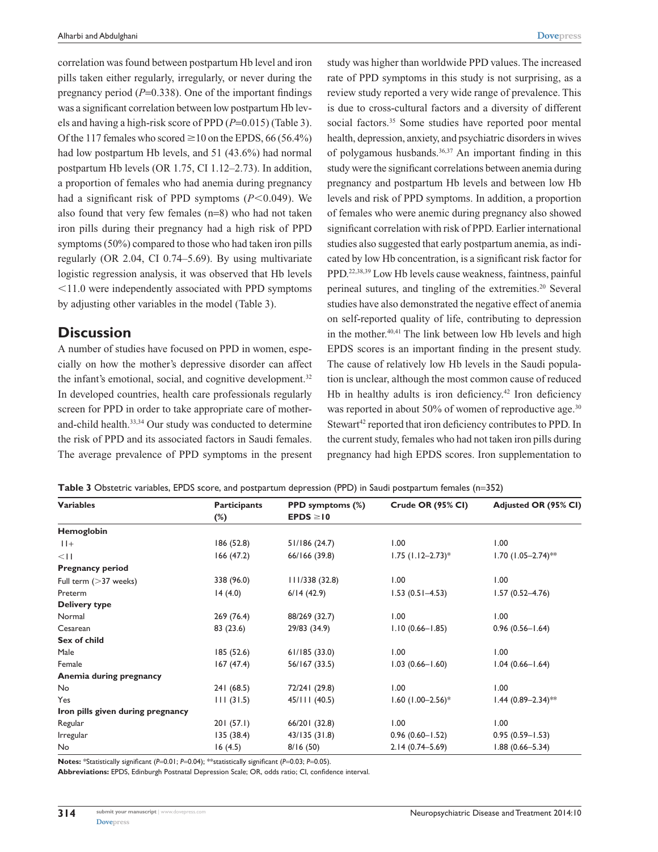correlation was found between postpartum Hb level and iron pills taken either regularly, irregularly, or never during the pregnancy period (*P*=0.338). One of the important findings was a significant correlation between low postpartum Hb levels and having a high-risk score of PPD (*P*=0.015) (Table 3). Of the 117 females who scored  $\geq$  10 on the EPDS, 66 (56.4%) had low postpartum Hb levels, and 51 (43.6%) had normal postpartum Hb levels (OR 1.75, CI 1.12–2.73). In addition, a proportion of females who had anemia during pregnancy had a significant risk of PPD symptoms  $(P<0.049)$ . We also found that very few females (n=8) who had not taken iron pills during their pregnancy had a high risk of PPD symptoms (50%) compared to those who had taken iron pills regularly (OR 2.04, CI 0.74–5.69). By using multivariate logistic regression analysis, it was observed that Hb levels  $<$ 11.0 were independently associated with PPD symptoms by adjusting other variables in the model (Table 3).

#### **Discussion**

A number of studies have focused on PPD in women, especially on how the mother's depressive disorder can affect the infant's emotional, social, and cognitive development.<sup>32</sup> In developed countries, health care professionals regularly screen for PPD in order to take appropriate care of motherand-child health.33,34 Our study was conducted to determine the risk of PPD and its associated factors in Saudi females. The average prevalence of PPD symptoms in the present study was higher than worldwide PPD values. The increased rate of PPD symptoms in this study is not surprising, as a review study reported a very wide range of prevalence. This is due to cross-cultural factors and a diversity of different social factors.<sup>35</sup> Some studies have reported poor mental health, depression, anxiety, and psychiatric disorders in wives of polygamous husbands.36,37 An important finding in this study were the significant correlations between anemia during pregnancy and postpartum Hb levels and between low Hb levels and risk of PPD symptoms. In addition, a proportion of females who were anemic during pregnancy also showed significant correlation with risk of PPD. Earlier international studies also suggested that early postpartum anemia, as indicated by low Hb concentration, is a significant risk factor for PPD.22,38,39 Low Hb levels cause weakness, faintness, painful perineal sutures, and tingling of the extremities.<sup>20</sup> Several studies have also demonstrated the negative effect of anemia on self-reported quality of life, contributing to depression in the mother.<sup>40,41</sup> The link between low Hb levels and high EPDS scores is an important finding in the present study. The cause of relatively low Hb levels in the Saudi population is unclear, although the most common cause of reduced Hb in healthy adults is iron deficiency.<sup>42</sup> Iron deficiency was reported in about 50% of women of reproductive age.<sup>30</sup> Stewart<sup>42</sup> reported that iron deficiency contributes to PPD. In the current study, females who had not taken iron pills during pregnancy had high EPDS scores. Iron supplementation to

**Table 3** Obstetric variables, EPDS score, and postpartum depression (PPD) in Saudi postpartum females (n=352)

| <b>Variables</b>                  | <b>Participants</b> | <b>PPD</b> symptoms (%) | Crude OR (95% CI)               | Adjusted OR (95% CI)    |  |
|-----------------------------------|---------------------|-------------------------|---------------------------------|-------------------------|--|
|                                   | $(\%)$              | $EPDS \geq 10$          |                                 |                         |  |
| Hemoglobin                        |                     |                         |                                 |                         |  |
| $11+$                             | 186 (52.8)          | 51/186 (24.7)           | 1.00                            | 1.00                    |  |
| $<$ $\vert \, \vert$              | 166(47.2)           | 66/166 (39.8)           | $1.75$ (1.12-2.73)*             | $1.70$ (1.05-2.74)**    |  |
| <b>Pregnancy period</b>           |                     |                         |                                 |                         |  |
| Full term $(>37$ weeks)           | 338 (96.0)          | 111/338(32.8)           | 1.00                            | 1.00                    |  |
| Preterm                           | 14(4.0)             | 6/14(42.9)              | $1.53(0.51 - 4.53)$             | $1.57(0.52 - 4.76)$     |  |
| <b>Delivery type</b>              |                     |                         |                                 |                         |  |
| Normal                            | 269(76.4)           | 88/269 (32.7)           | 1.00                            | 1.00                    |  |
| Cesarean                          | 83 (23.6)           | 29/83 (34.9)            | $1.10(0.66 - 1.85)$             | $0.96(0.56 - 1.64)$     |  |
| Sex of child                      |                     |                         |                                 |                         |  |
| Male                              | 185 (52.6)          | 61/185(33.0)            | 1.00                            | 1.00                    |  |
| Female                            | 167(47.4)           | 56/167 (33.5)           | $1.03(0.66 - 1.60)$             | $1.04(0.66 - 1.64)$     |  |
| Anemia during pregnancy           |                     |                         |                                 |                         |  |
| No                                | 241 (68.5)          | 72/241 (29.8)           | 1.00                            | 1.00                    |  |
| Yes                               | 111(31.5)           | 45/111(40.5)            | $1.60$ (1.00-2.56) <sup>*</sup> | $1.44 (0.89 - 2.34)$ ** |  |
| Iron pills given during pregnancy |                     |                         |                                 |                         |  |
| Regular                           | 201(57.1)           | 66/201 (32.8)           | 1.00                            | 1.00                    |  |
| Irregular                         | 135 (38.4)          | 43/135(31.8)            | $0.96(0.60 - 1.52)$             | $0.95(0.59 - 1.53)$     |  |
| No                                | 16(4.5)             | 8/16(50)                | $2.14(0.74 - 5.69)$             | $1.88(0.66 - 5.34)$     |  |

**Notes:** \*Statistically significant (*P*=0.01; *P*=0.04); \*\*statistically significant (*P*=0.03; *P*=0.05).

**Abbreviations:** EPDS, Edinburgh Postnatal Depression Scale; OR, odds ratio; CI, confidence interval.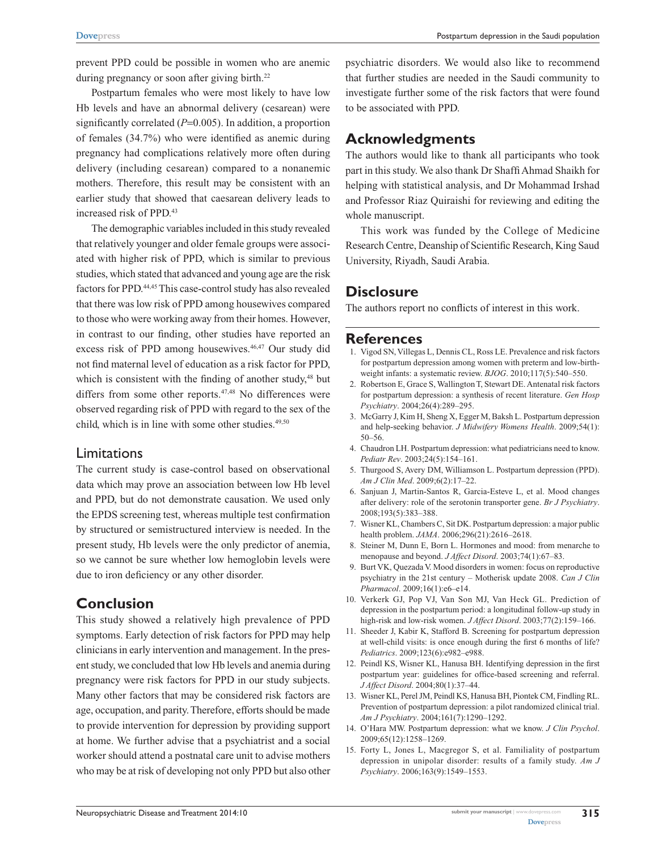prevent PPD could be possible in women who are anemic during pregnancy or soon after giving birth.<sup>22</sup>

Postpartum females who were most likely to have low Hb levels and have an abnormal delivery (cesarean) were significantly correlated (*P*=0.005). In addition, a proportion of females (34.7%) who were identified as anemic during pregnancy had complications relatively more often during delivery (including cesarean) compared to a nonanemic mothers. Therefore, this result may be consistent with an earlier study that showed that caesarean delivery leads to increased risk of PPD.43

The demographic variables included in this study revealed that relatively younger and older female groups were associated with higher risk of PPD, which is similar to previous studies, which stated that advanced and young age are the risk factors for PPD.<sup>44,45</sup> This case-control study has also revealed that there was low risk of PPD among housewives compared to those who were working away from their homes. However, in contrast to our finding, other studies have reported an excess risk of PPD among housewives.<sup>46,47</sup> Our study did not find maternal level of education as a risk factor for PPD, which is consistent with the finding of another study, $48$  but differs from some other reports.<sup>47,48</sup> No differences were observed regarding risk of PPD with regard to the sex of the child, which is in line with some other studies. $49,50$ 

#### Limitations

The current study is case-control based on observational data which may prove an association between low Hb level and PPD, but do not demonstrate causation. We used only the EPDS screening test, whereas multiple test confirmation by structured or semistructured interview is needed. In the present study, Hb levels were the only predictor of anemia, so we cannot be sure whether low hemoglobin levels were due to iron deficiency or any other disorder.

# **Conclusion**

This study showed a relatively high prevalence of PPD symptoms. Early detection of risk factors for PPD may help clinicians in early intervention and management. In the present study, we concluded that low Hb levels and anemia during pregnancy were risk factors for PPD in our study subjects. Many other factors that may be considered risk factors are age, occupation, and parity. Therefore, efforts should be made to provide intervention for depression by providing support at home. We further advise that a psychiatrist and a social worker should attend a postnatal care unit to advise mothers who may be at risk of developing not only PPD but also other

psychiatric disorders. We would also like to recommend that further studies are needed in the Saudi community to investigate further some of the risk factors that were found to be associated with PPD.

## **Acknowledgments**

The authors would like to thank all participants who took part in this study. We also thank Dr Shaffi Ahmad Shaikh for helping with statistical analysis, and Dr Mohammad Irshad and Professor Riaz Quiraishi for reviewing and editing the whole manuscript.

This work was funded by the College of Medicine Research Centre, Deanship of Scientific Research, King Saud University, Riyadh, Saudi Arabia.

# **Disclosure**

The authors report no conflicts of interest in this work.

#### **References**

- 1. Vigod SN, Villegas L, Dennis CL, Ross LE. Prevalence and risk factors for postpartum depression among women with preterm and low-birthweight infants: a systematic review. *BJOG*. 2010;117(5):540–550.
- 2. Robertson E, Grace S, Wallington T, Stewart DE. Antenatal risk factors for postpartum depression: a synthesis of recent literature. *Gen Hosp Psychiatry*. 2004;26(4):289–295.
- 3. McGarry J, Kim H, Sheng X, Egger M, Baksh L. Postpartum depression and help-seeking behavior. *J Midwifery Womens Health*. 2009;54(1): 50–56.
- 4. Chaudron LH. Postpartum depression: what pediatricians need to know. *Pediatr Rev*. 2003;24(5):154–161.
- 5. Thurgood S, Avery DM, Williamson L. Postpartum depression (PPD). *Am J Clin Med*. 2009;6(2):17–22.
- 6. Sanjuan J, Martin-Santos R, Garcia-Esteve L, et al. Mood changes after delivery: role of the serotonin transporter gene. *Br J Psychiatry*. 2008;193(5):383–388.
- 7. Wisner KL, Chambers C, Sit DK. Postpartum depression: a major public health problem. *JAMA*. 2006;296(21):2616–2618.
- 8. Steiner M, Dunn E, Born L. Hormones and mood: from menarche to menopause and beyond. *J Affect Disord*. 2003;74(1):67–83.
- 9. Burt VK, Quezada V. Mood disorders in women: focus on reproductive psychiatry in the 21st century – Motherisk update 2008. *Can J Clin Pharmacol*. 2009;16(1):e6–e14.
- 10. Verkerk GJ, Pop VJ, Van Son MJ, Van Heck GL. Prediction of depression in the postpartum period: a longitudinal follow-up study in high-risk and low-risk women. *J Affect Disord*. 2003;77(2):159–166.
- 11. Sheeder J, Kabir K, Stafford B. Screening for postpartum depression at well-child visits: is once enough during the first 6 months of life? *Pediatrics*. 2009;123(6):e982–e988.
- 12. Peindl KS, Wisner KL, Hanusa BH. Identifying depression in the first postpartum year: guidelines for office-based screening and referral. *J Affect Disord*. 2004;80(1):37–44.
- 13. Wisner KL, Perel JM, Peindl KS, Hanusa BH, Piontek CM, Findling RL. Prevention of postpartum depression: a pilot randomized clinical trial. *Am J Psychiatry*. 2004;161(7):1290–1292.
- 14. O'Hara MW. Postpartum depression: what we know. *J Clin Psychol*. 2009;65(12):1258–1269.
- 15. Forty L, Jones L, Macgregor S, et al. Familiality of postpartum depression in unipolar disorder: results of a family study. *Am J Psychiatry*. 2006;163(9):1549–1553.